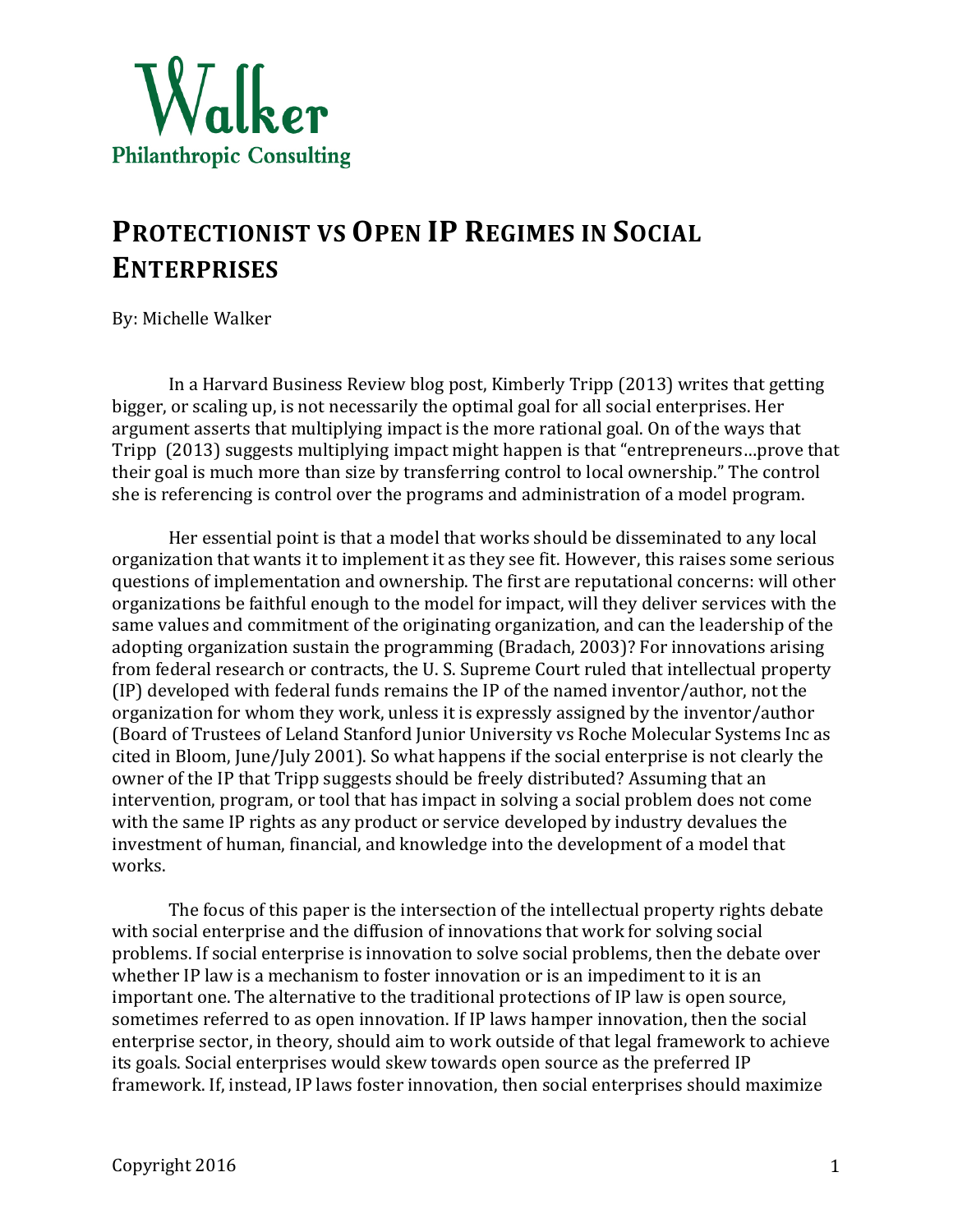

## **PROTECTIONIST VS OPEN IP REGIMES IN SOCIAL ENTERPRISES**

By: Michelle Walker

In a Harvard Business Review blog post, Kimberly Tripp (2013) writes that getting bigger, or scaling up, is not necessarily the optimal goal for all social enterprises. Her argument asserts that multiplying impact is the more rational goal. On of the ways that Tripp (2013) suggests multiplying impact might happen is that "entrepreneurs...prove that their goal is much more than size by transferring control to local ownership." The control she is referencing is control over the programs and administration of a model program.

Her essential point is that a model that works should be disseminated to any local organization that wants it to implement it as they see fit. However, this raises some serious questions of implementation and ownership. The first are reputational concerns: will other organizations be faithful enough to the model for impact, will they deliver services with the same values and commitment of the originating organization, and can the leadership of the adopting organization sustain the programming (Bradach, 2003)? For innovations arising from federal research or contracts, the U.S. Supreme Court ruled that intellectual property  $(IP)$  developed with federal funds remains the IP of the named inventor/author, not the organization for whom they work, unless it is expressly assigned by the inventor/author (Board of Trustees of Leland Stanford Junior University vs Roche Molecular Systems Inc as cited in Bloom, June/July 2001). So what happens if the social enterprise is not clearly the owner of the IP that Tripp suggests should be freely distributed? Assuming that an intervention, program, or tool that has impact in solving a social problem does not come with the same IP rights as any product or service developed by industry devalues the investment of human, financial, and knowledge into the development of a model that works.

The focus of this paper is the intersection of the intellectual property rights debate with social enterprise and the diffusion of innovations that work for solving social problems. If social enterprise is innovation to solve social problems, then the debate over whether IP law is a mechanism to foster innovation or is an impediment to it is an important one. The alternative to the traditional protections of IP law is open source, sometimes referred to as open innovation. If IP laws hamper innovation, then the social enterprise sector, in theory, should aim to work outside of that legal framework to achieve its goals. Social enterprises would skew towards open source as the preferred IP framework. If, instead, IP laws foster innovation, then social enterprises should maximize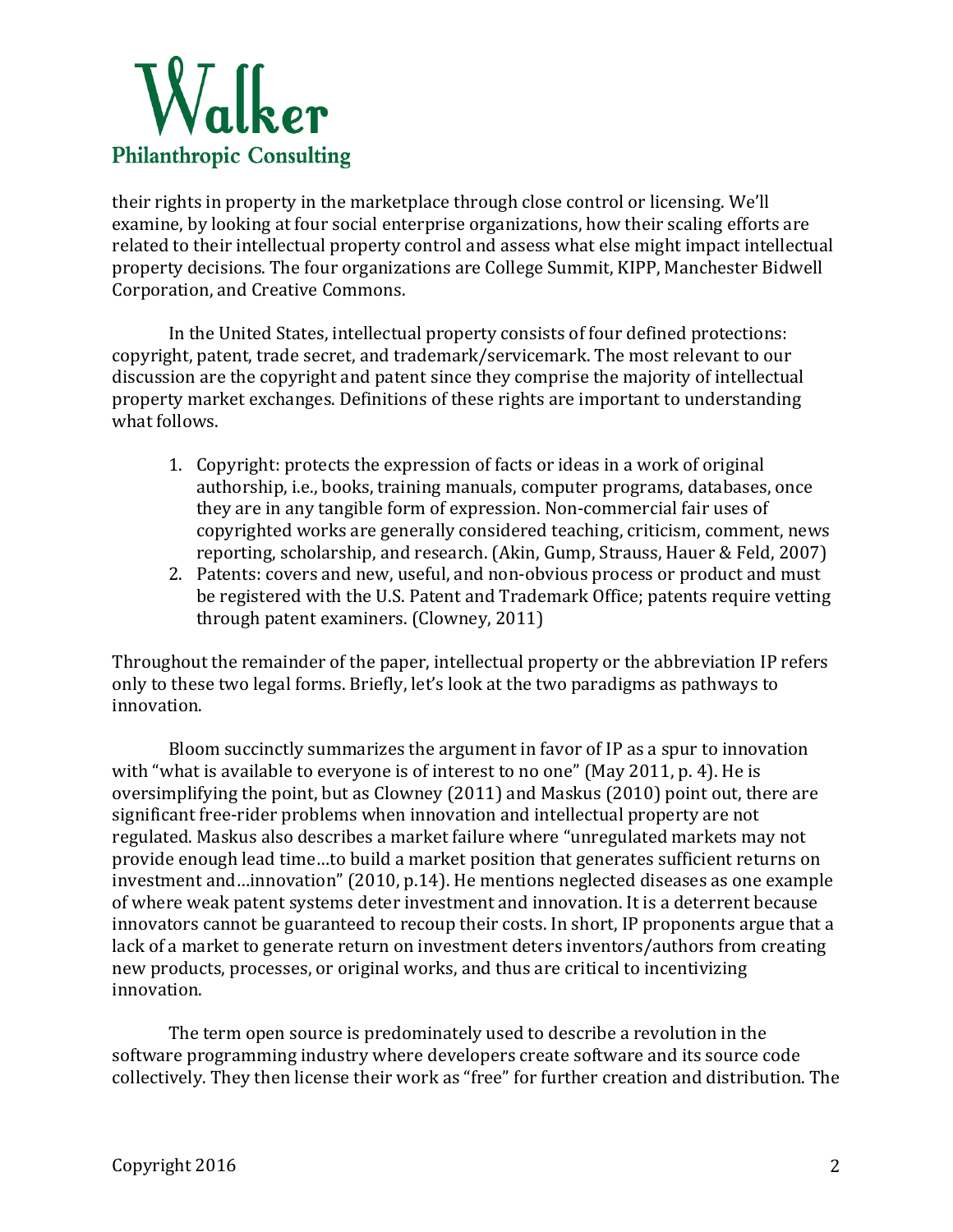

their rights in property in the marketplace through close control or licensing. We'll examine, by looking at four social enterprise organizations, how their scaling efforts are related to their intellectual property control and assess what else might impact intellectual property decisions. The four organizations are College Summit, KIPP, Manchester Bidwell Corporation, and Creative Commons.

In the United States, intellectual property consists of four defined protections: copyright, patent, trade secret, and trademark/servicemark. The most relevant to our discussion are the copyright and patent since they comprise the majority of intellectual property market exchanges. Definitions of these rights are important to understanding what follows.

- 1. Copyright: protects the expression of facts or ideas in a work of original authorship, i.e., books, training manuals, computer programs, databases, once they are in any tangible form of expression. Non-commercial fair uses of copyrighted works are generally considered teaching, criticism, comment, news reporting, scholarship, and research. (Akin, Gump, Strauss, Hauer & Feld, 2007)
- 2. Patents: covers and new, useful, and non-obvious process or product and must be registered with the U.S. Patent and Trademark Office; patents require vetting through patent examiners. (Clowney, 2011)

Throughout the remainder of the paper, intellectual property or the abbreviation IP refers only to these two legal forms. Briefly, let's look at the two paradigms as pathways to innovation. 

Bloom succinctly summarizes the argument in favor of IP as a spur to innovation with "what is available to everyone is of interest to no one" (May 2011, p. 4). He is oversimplifying the point, but as Clowney  $(2011)$  and Maskus  $(2010)$  point out, there are significant free-rider problems when innovation and intellectual property are not regulated. Maskus also describes a market failure where "unregulated markets may not provide enough lead time...to build a market position that generates sufficient returns on investment and…innovation" (2010, p.14). He mentions neglected diseases as one example of where weak patent systems deter investment and innovation. It is a deterrent because innovators cannot be guaranteed to recoup their costs. In short, IP proponents argue that a lack of a market to generate return on investment deters inventors/authors from creating new products, processes, or original works, and thus are critical to incentivizing innovation. 

The term open source is predominately used to describe a revolution in the software programming industry where developers create software and its source code collectively. They then license their work as "free" for further creation and distribution. The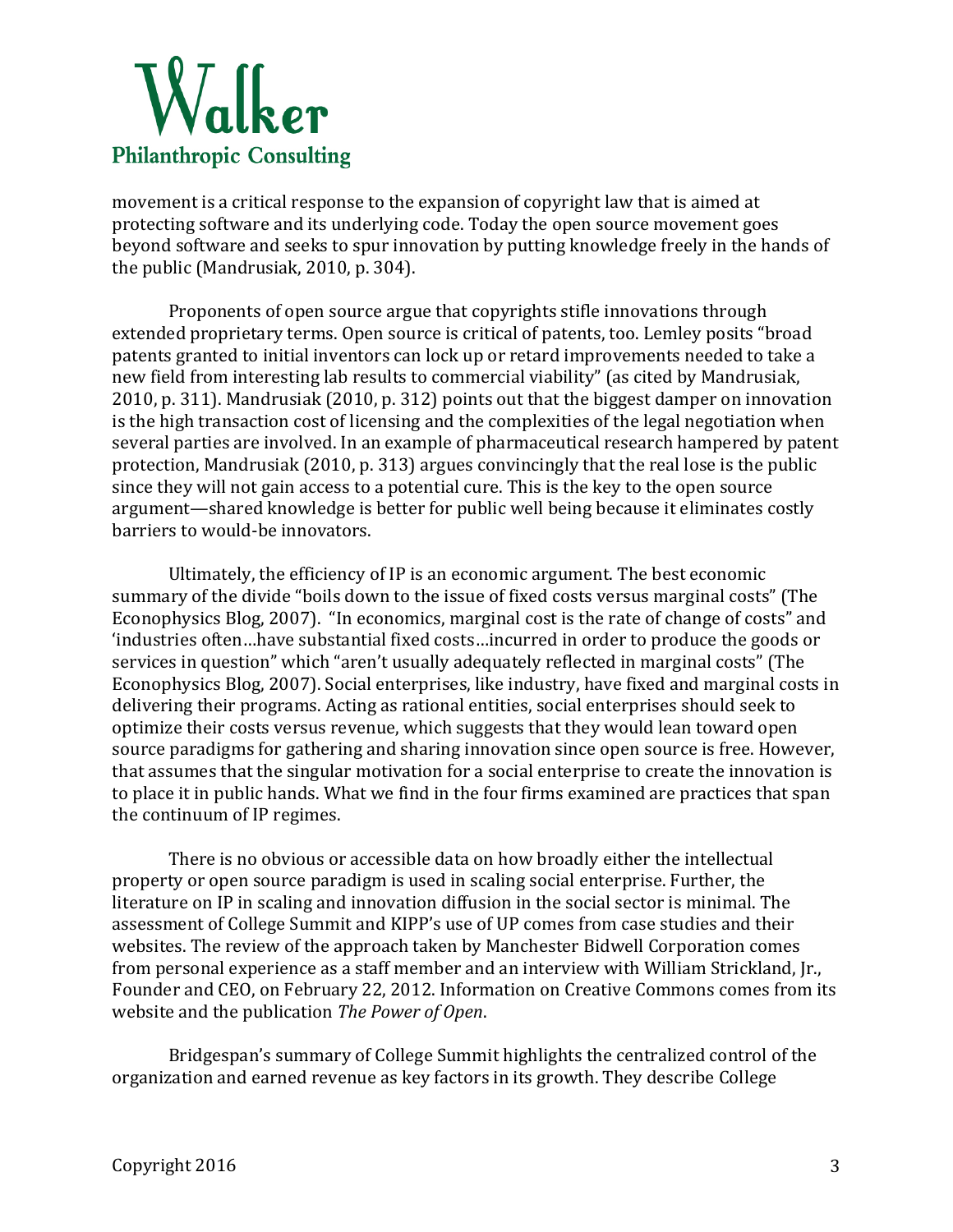

movement is a critical response to the expansion of copyright law that is aimed at protecting software and its underlying code. Today the open source movement goes beyond software and seeks to spur innovation by putting knowledge freely in the hands of the public (Mandrusiak, 2010, p. 304).

Proponents of open source argue that copyrights stifle innovations through extended proprietary terms. Open source is critical of patents, too. Lemley posits "broad patents granted to initial inventors can lock up or retard improvements needed to take a new field from interesting lab results to commercial viability" (as cited by Mandrusiak, 2010, p. 311). Mandrusiak (2010, p. 312) points out that the biggest damper on innovation is the high transaction cost of licensing and the complexities of the legal negotiation when several parties are involved. In an example of pharmaceutical research hampered by patent protection, Mandrusiak  $(2010, p. 313)$  argues convincingly that the real lose is the public since they will not gain access to a potential cure. This is the key to the open source argument—shared knowledge is better for public well being because it eliminates costly barriers to would-be innovators.

Ultimately, the efficiency of IP is an economic argument. The best economic summary of the divide "boils down to the issue of fixed costs versus marginal costs" (The Econophysics Blog, 2007). "In economics, marginal cost is the rate of change of costs" and 'industries often...have substantial fixed costs...incurred in order to produce the goods or services in question" which "aren't usually adequately reflected in marginal costs" (The Econophysics Blog, 2007). Social enterprises, like industry, have fixed and marginal costs in delivering their programs. Acting as rational entities, social enterprises should seek to optimize their costs versus revenue, which suggests that they would lean toward open source paradigms for gathering and sharing innovation since open source is free. However, that assumes that the singular motivation for a social enterprise to create the innovation is to place it in public hands. What we find in the four firms examined are practices that span the continuum of IP regimes.

There is no obvious or accessible data on how broadly either the intellectual property or open source paradigm is used in scaling social enterprise. Further, the literature on IP in scaling and innovation diffusion in the social sector is minimal. The assessment of College Summit and KIPP's use of UP comes from case studies and their websites. The review of the approach taken by Manchester Bidwell Corporation comes from personal experience as a staff member and an interview with William Strickland, Jr., Founder and CEO, on February 22, 2012. Information on Creative Commons comes from its website and the publication *The Power of Open*.

Bridgespan's summary of College Summit highlights the centralized control of the organization and earned revenue as key factors in its growth. They describe College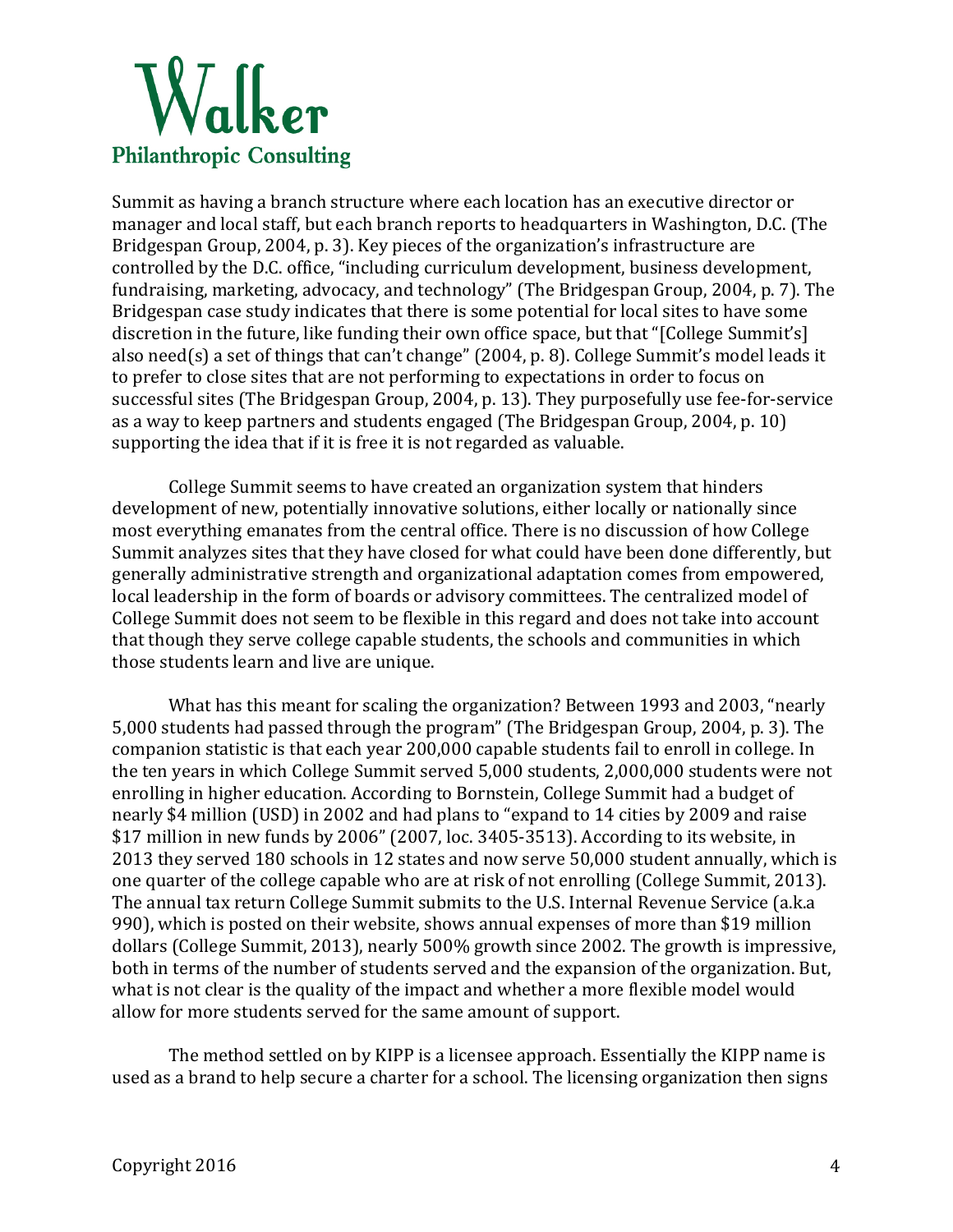

Summit as having a branch structure where each location has an executive director or manager and local staff, but each branch reports to headquarters in Washington, D.C. (The Bridgespan Group, 2004, p. 3). Key pieces of the organization's infrastructure are controlled by the D.C. office, "including curriculum development, business development, fundraising, marketing, advocacy, and technology" (The Bridgespan Group, 2004, p. 7). The Bridgespan case study indicates that there is some potential for local sites to have some discretion in the future, like funding their own office space, but that "[College Summit's] also need(s) a set of things that can't change"  $(2004, p. 8)$ . College Summit's model leads it to prefer to close sites that are not performing to expectations in order to focus on successful sites (The Bridgespan Group, 2004, p. 13). They purposefully use fee-for-service as a way to keep partners and students engaged (The Bridgespan Group, 2004, p. 10) supporting the idea that if it is free it is not regarded as valuable.

College Summit seems to have created an organization system that hinders development of new, potentially innovative solutions, either locally or nationally since most everything emanates from the central office. There is no discussion of how College Summit analyzes sites that they have closed for what could have been done differently, but generally administrative strength and organizational adaptation comes from empowered, local leadership in the form of boards or advisory committees. The centralized model of College Summit does not seem to be flexible in this regard and does not take into account that though they serve college capable students, the schools and communities in which those students learn and live are unique.

What has this meant for scaling the organization? Between 1993 and 2003, "nearly 5,000 students had passed through the program" (The Bridgespan Group, 2004, p. 3). The companion statistic is that each year 200,000 capable students fail to enroll in college. In the ten years in which College Summit served 5,000 students, 2,000,000 students were not enrolling in higher education. According to Bornstein, College Summit had a budget of nearly \$4 million (USD) in 2002 and had plans to "expand to 14 cities by 2009 and raise  $$17$  million in new funds by 2006" (2007, loc. 3405-3513). According to its website, in 2013 they served 180 schools in 12 states and now serve 50,000 student annually, which is one quarter of the college capable who are at risk of not enrolling (College Summit, 2013). The annual tax return College Summit submits to the U.S. Internal Revenue Service (a.k.a) 990), which is posted on their website, shows annual expenses of more than \$19 million dollars (College Summit, 2013), nearly 500% growth since 2002. The growth is impressive, both in terms of the number of students served and the expansion of the organization. But, what is not clear is the quality of the impact and whether a more flexible model would allow for more students served for the same amount of support.

The method settled on by KIPP is a licensee approach. Essentially the KIPP name is used as a brand to help secure a charter for a school. The licensing organization then signs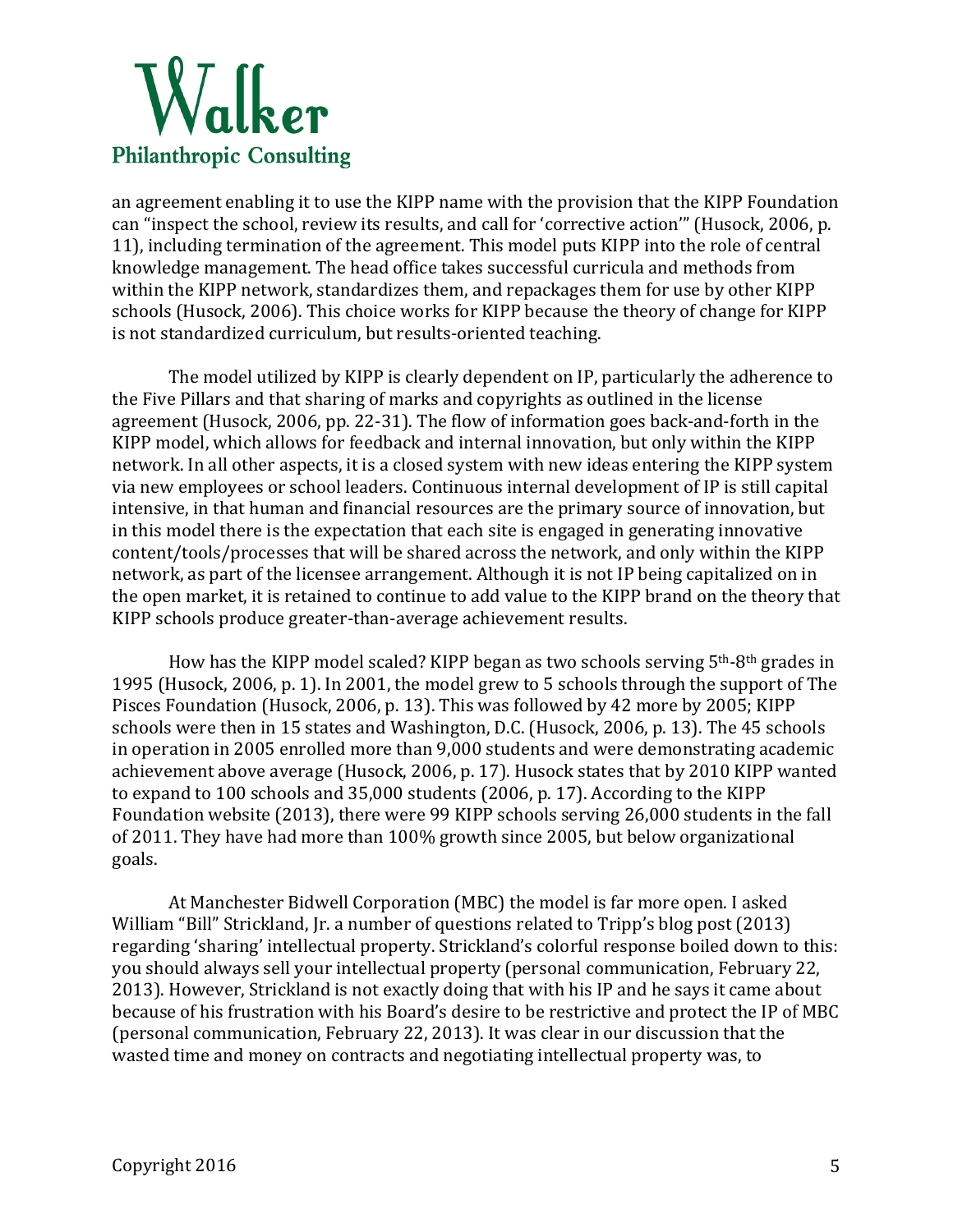

an agreement enabling it to use the KIPP name with the provision that the KIPP Foundation can "inspect the school, review its results, and call for 'corrective action'" (Husock, 2006, p. 11), including termination of the agreement. This model puts KIPP into the role of central knowledge management. The head office takes successful curricula and methods from within the KIPP network, standardizes them, and repackages them for use by other KIPP schools (Husock, 2006). This choice works for KIPP because the theory of change for KIPP is not standardized curriculum, but results-oriented teaching.

The model utilized by KIPP is clearly dependent on IP, particularly the adherence to the Five Pillars and that sharing of marks and copyrights as outlined in the license agreement (Husock, 2006, pp. 22-31). The flow of information goes back-and-forth in the KIPP model, which allows for feedback and internal innovation, but only within the KIPP network. In all other aspects, it is a closed system with new ideas entering the KIPP system via new employees or school leaders. Continuous internal development of IP is still capital intensive, in that human and financial resources are the primary source of innovation, but in this model there is the expectation that each site is engaged in generating innovative content/tools/processes that will be shared across the network, and only within the KIPP network, as part of the licensee arrangement. Although it is not IP being capitalized on in the open market, it is retained to continue to add value to the KIPP brand on the theory that KIPP schools produce greater-than-average achievement results.

How has the KIPP model scaled? KIPP began as two schools serving  $5<sup>th</sup>$ -8<sup>th</sup> grades in 1995 (Husock, 2006, p. 1). In 2001, the model grew to 5 schools through the support of The Pisces Foundation (Husock, 2006, p. 13). This was followed by 42 more by 2005; KIPP schools were then in 15 states and Washington, D.C. (Husock, 2006, p. 13). The 45 schools in operation in 2005 enrolled more than 9,000 students and were demonstrating academic achievement above average (Husock, 2006, p. 17). Husock states that by 2010 KIPP wanted to expand to 100 schools and 35,000 students (2006, p. 17). According to the KIPP Foundation website (2013), there were 99 KIPP schools serving 26,000 students in the fall of 2011. They have had more than 100% growth since 2005, but below organizational goals.

At Manchester Bidwell Corporation (MBC) the model is far more open. I asked William "Bill" Strickland, Jr. a number of questions related to Tripp's blog post (2013) regarding 'sharing' intellectual property. Strickland's colorful response boiled down to this: you should always sell your intellectual property (personal communication, February 22, 2013). However, Strickland is not exactly doing that with his IP and he says it came about because of his frustration with his Board's desire to be restrictive and protect the IP of MBC (personal communication, February 22, 2013). It was clear in our discussion that the wasted time and money on contracts and negotiating intellectual property was, to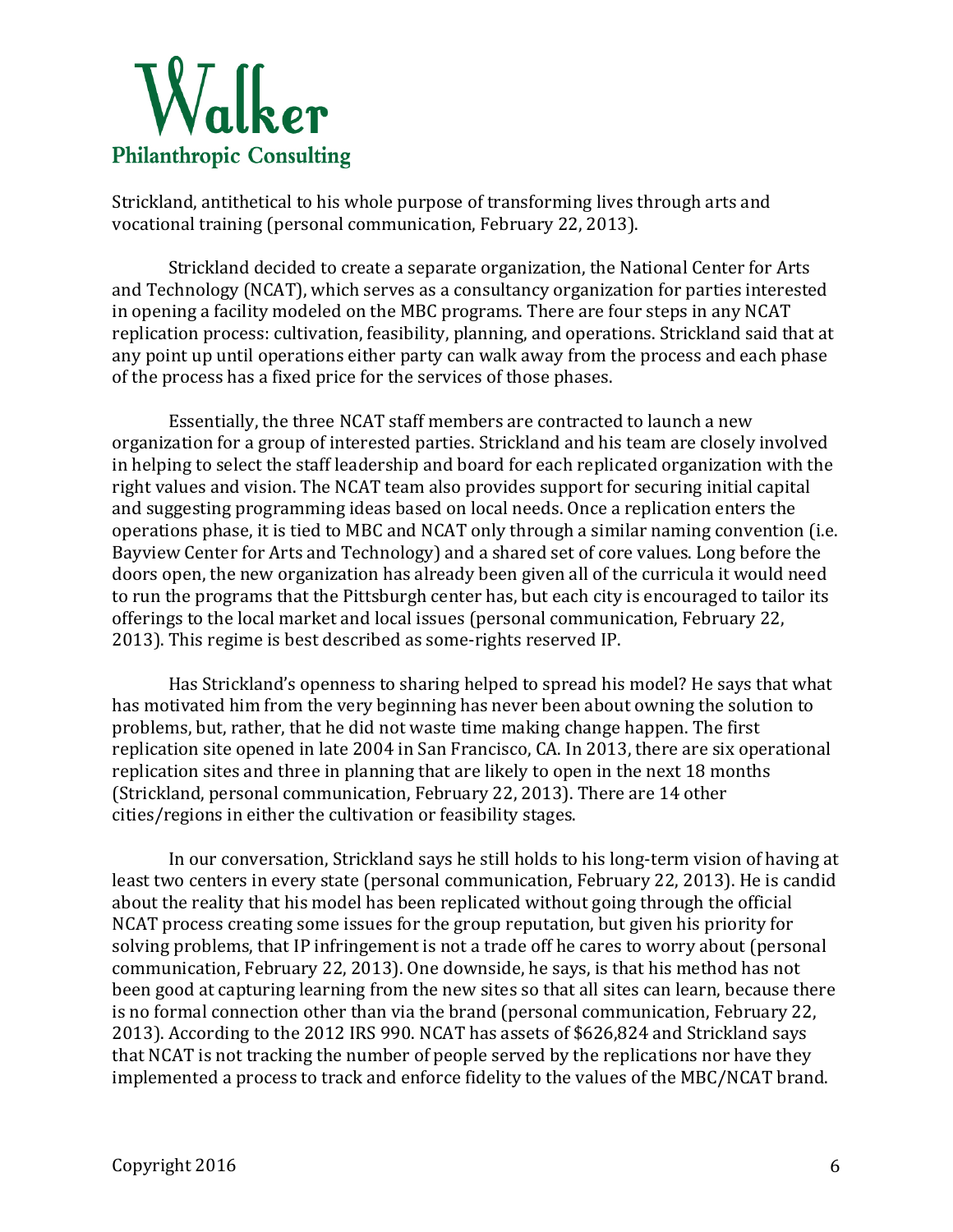

Strickland, antithetical to his whole purpose of transforming lives through arts and vocational training (personal communication, February 22, 2013).

Strickland decided to create a separate organization, the National Center for Arts and Technology (NCAT), which serves as a consultancy organization for parties interested in opening a facility modeled on the MBC programs. There are four steps in any NCAT replication process: cultivation, feasibility, planning, and operations. Strickland said that at any point up until operations either party can walk away from the process and each phase of the process has a fixed price for the services of those phases.

Essentially, the three NCAT staff members are contracted to launch a new organization for a group of interested parties. Strickland and his team are closely involved in helping to select the staff leadership and board for each replicated organization with the right values and vision. The NCAT team also provides support for securing initial capital and suggesting programming ideas based on local needs. Once a replication enters the operations phase, it is tied to MBC and NCAT only through a similar naming convention (i.e. Bayview Center for Arts and Technology) and a shared set of core values. Long before the doors open, the new organization has already been given all of the curricula it would need to run the programs that the Pittsburgh center has, but each city is encouraged to tailor its offerings to the local market and local issues (personal communication, February 22, 2013). This regime is best described as some-rights reserved IP.

Has Strickland's openness to sharing helped to spread his model? He says that what has motivated him from the very beginning has never been about owning the solution to problems, but, rather, that he did not waste time making change happen. The first replication site opened in late 2004 in San Francisco, CA. In 2013, there are six operational replication sites and three in planning that are likely to open in the next 18 months (Strickland, personal communication, February 22, 2013). There are 14 other cities/regions in either the cultivation or feasibility stages.

In our conversation, Strickland says he still holds to his long-term vision of having at least two centers in every state (personal communication, February 22, 2013). He is candid about the reality that his model has been replicated without going through the official NCAT process creating some issues for the group reputation, but given his priority for solving problems, that IP infringement is not a trade off he cares to worry about (personal communication, February 22, 2013). One downside, he says, is that his method has not been good at capturing learning from the new sites so that all sites can learn, because there is no formal connection other than via the brand (personal communication, February 22, 2013). According to the 2012 IRS 990. NCAT has assets of \$626,824 and Strickland says that NCAT is not tracking the number of people served by the replications nor have they implemented a process to track and enforce fidelity to the values of the MBC/NCAT brand.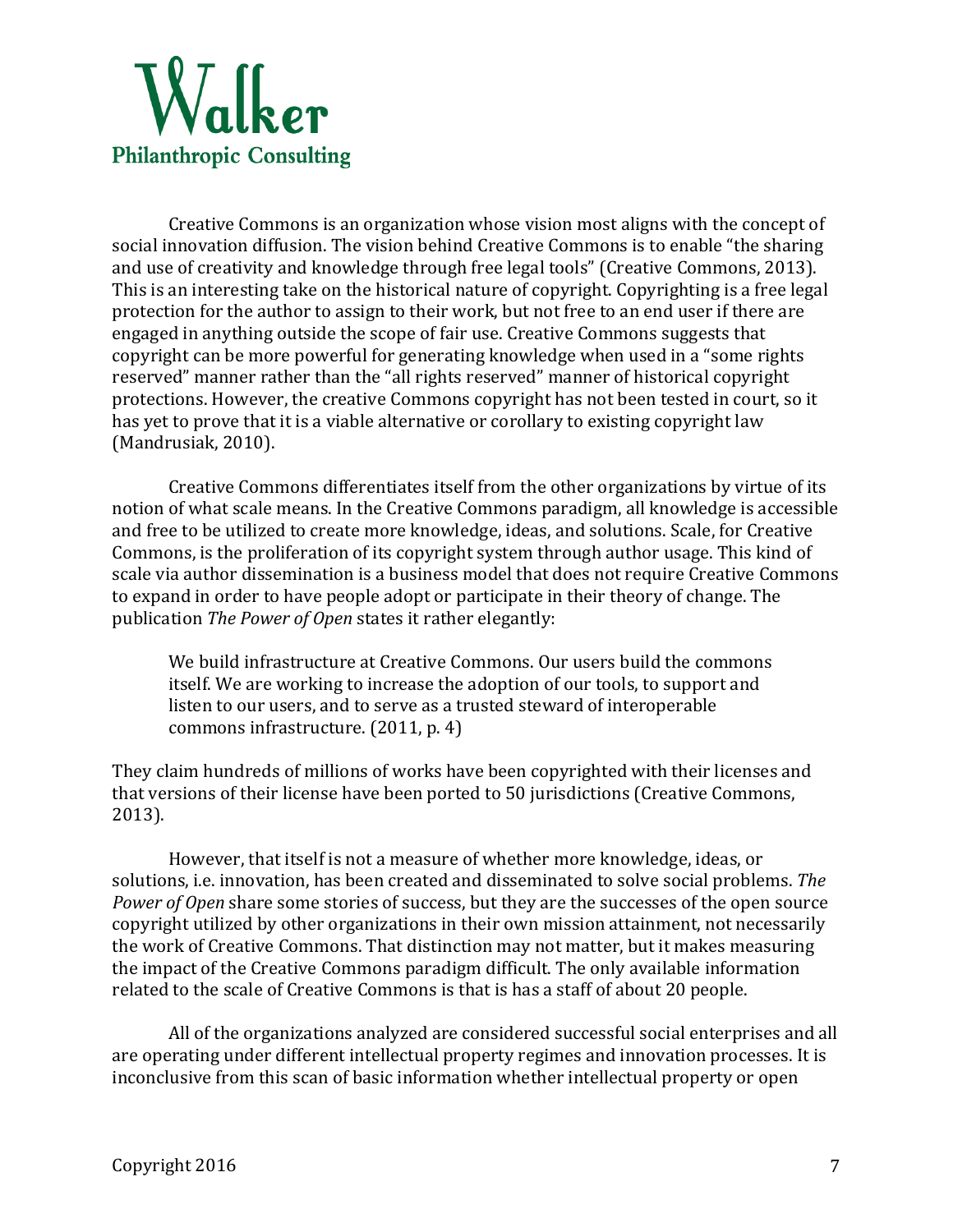

Creative Commons is an organization whose vision most aligns with the concept of social innovation diffusion. The vision behind Creative Commons is to enable "the sharing and use of creativity and knowledge through free legal tools" (Creative Commons, 2013). This is an interesting take on the historical nature of copyright. Copyrighting is a free legal protection for the author to assign to their work, but not free to an end user if there are engaged in anything outside the scope of fair use. Creative Commons suggests that copyright can be more powerful for generating knowledge when used in a "some rights" reserved" manner rather than the "all rights reserved" manner of historical copyright protections. However, the creative Commons copyright has not been tested in court, so it has yet to prove that it is a viable alternative or corollary to existing copyright law (Mandrusiak, 2010).

Creative Commons differentiates itself from the other organizations by virtue of its notion of what scale means. In the Creative Commons paradigm, all knowledge is accessible and free to be utilized to create more knowledge, ideas, and solutions. Scale, for Creative Commons, is the proliferation of its copyright system through author usage. This kind of scale via author dissemination is a business model that does not require Creative Commons to expand in order to have people adopt or participate in their theory of change. The publication *The Power of Open* states it rather elegantly:

We build infrastructure at Creative Commons. Our users build the commons itself. We are working to increase the adoption of our tools, to support and listen to our users, and to serve as a trusted steward of interoperable commons infrastructure. (2011, p. 4)

They claim hundreds of millions of works have been copyrighted with their licenses and that versions of their license have been ported to 50 jurisdictions (Creative Commons, 2013). 

However, that itself is not a measure of whether more knowledge, ideas, or solutions, i.e. innovation, has been created and disseminated to solve social problems. *The Power of Open* share some stories of success, but they are the successes of the open source copyright utilized by other organizations in their own mission attainment, not necessarily the work of Creative Commons. That distinction may not matter, but it makes measuring the impact of the Creative Commons paradigm difficult. The only available information related to the scale of Creative Commons is that is has a staff of about 20 people.

All of the organizations analyzed are considered successful social enterprises and all are operating under different intellectual property regimes and innovation processes. It is inconclusive from this scan of basic information whether intellectual property or open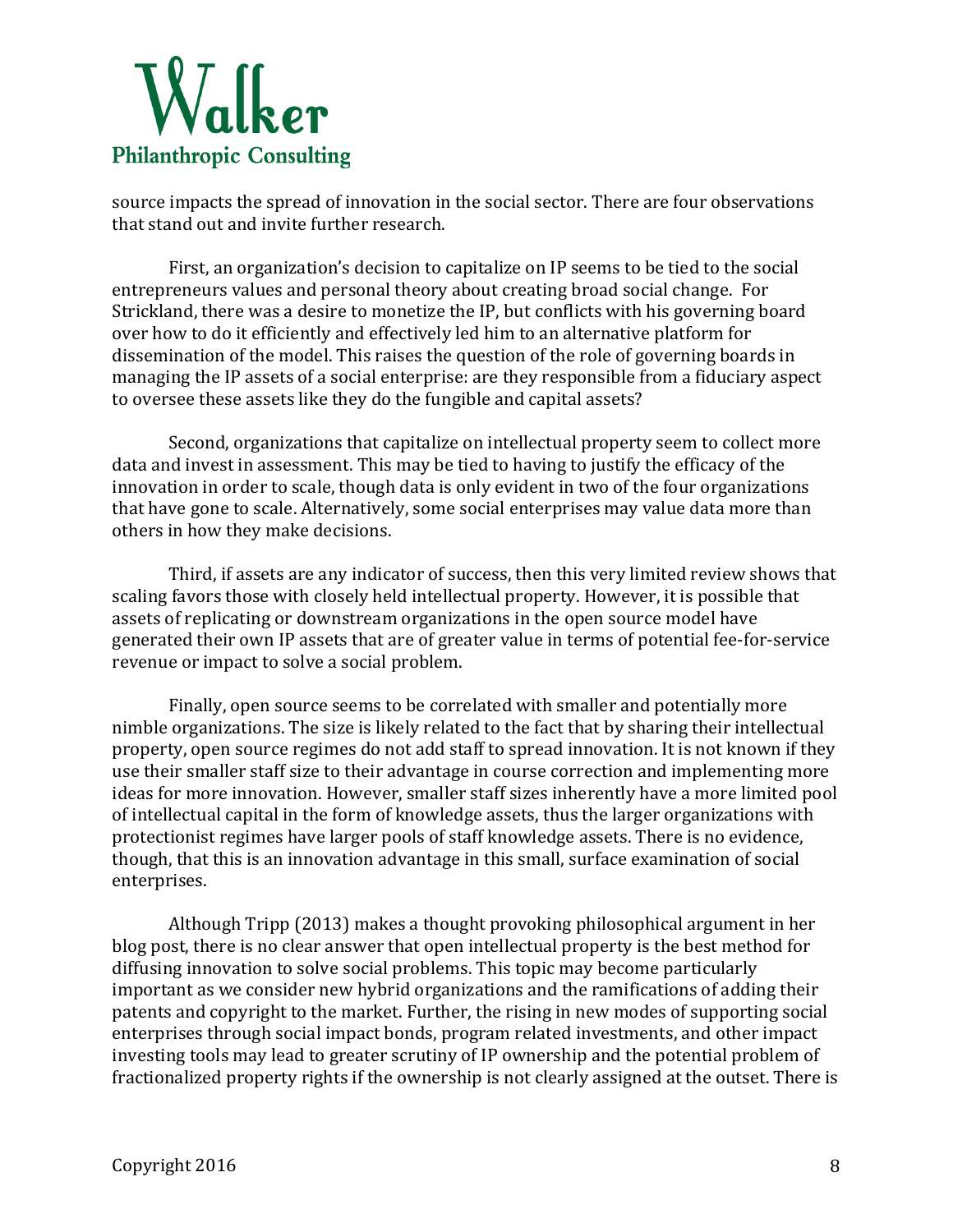

source impacts the spread of innovation in the social sector. There are four observations that stand out and invite further research.

First, an organization's decision to capitalize on IP seems to be tied to the social entrepreneurs values and personal theory about creating broad social change. For Strickland, there was a desire to monetize the IP, but conflicts with his governing board over how to do it efficiently and effectively led him to an alternative platform for dissemination of the model. This raises the question of the role of governing boards in managing the IP assets of a social enterprise: are they responsible from a fiduciary aspect to oversee these assets like they do the fungible and capital assets?

Second, organizations that capitalize on intellectual property seem to collect more data and invest in assessment. This may be tied to having to justify the efficacy of the innovation in order to scale, though data is only evident in two of the four organizations that have gone to scale. Alternatively, some social enterprises may value data more than others in how they make decisions.

Third, if assets are any indicator of success, then this very limited review shows that scaling favors those with closely held intellectual property. However, it is possible that assets of replicating or downstream organizations in the open source model have generated their own IP assets that are of greater value in terms of potential fee-for-service revenue or impact to solve a social problem.

Finally, open source seems to be correlated with smaller and potentially more nimble organizations. The size is likely related to the fact that by sharing their intellectual property, open source regimes do not add staff to spread innovation. It is not known if they use their smaller staff size to their advantage in course correction and implementing more ideas for more innovation. However, smaller staff sizes inherently have a more limited pool of intellectual capital in the form of knowledge assets, thus the larger organizations with protectionist regimes have larger pools of staff knowledge assets. There is no evidence, though, that this is an innovation advantage in this small, surface examination of social enterprises.

Although Tripp (2013) makes a thought provoking philosophical argument in her blog post, there is no clear answer that open intellectual property is the best method for diffusing innovation to solve social problems. This topic may become particularly important as we consider new hybrid organizations and the ramifications of adding their patents and copyright to the market. Further, the rising in new modes of supporting social enterprises through social impact bonds, program related investments, and other impact investing tools may lead to greater scrutiny of IP ownership and the potential problem of fractionalized property rights if the ownership is not clearly assigned at the outset. There is